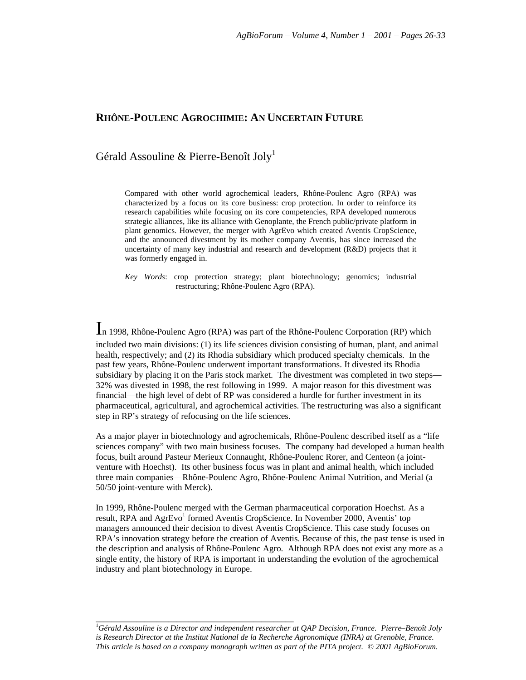# **RHÔNE-POULENC AGROCHIMIE: AN UNCERTAIN FUTURE**

# Gérald Assouline & Pierre-Benoît Joly<sup>1</sup>

Compared with other world agrochemical leaders, Rhône-Poulenc Agro (RPA) was characterized by a focus on its core business: crop protection. In order to reinforce its research capabilities while focusing on its core competencies, RPA developed numerous strategic alliances, like its alliance with Genoplante, the French public/private platform in plant genomics. However, the merger with AgrEvo which created Aventis CropScience, and the announced divestment by its mother company Aventis, has since increased the uncertainty of many key industrial and research and development (R&D) projects that it was formerly engaged in.

*Key Words*: crop protection strategy; plant biotechnology; genomics; industrial restructuring; Rhône-Poulenc Agro (RPA).

In 1998, Rhône-Poulenc Agro (RPA) was part of the Rhône-Poulenc Corporation (RP) which included two main divisions: (1) its life sciences division consisting of human, plant, and animal health, respectively; and (2) its Rhodia subsidiary which produced specialty chemicals. In the past few years, Rhône-Poulenc underwent important transformations. It divested its Rhodia subsidiary by placing it on the Paris stock market. The divestment was completed in two steps— 32% was divested in 1998, the rest following in 1999. A major reason for this divestment was financial—the high level of debt of RP was considered a hurdle for further investment in its pharmaceutical, agricultural, and agrochemical activities. The restructuring was also a significant step in RP's strategy of refocusing on the life sciences.

As a major player in biotechnology and agrochemicals, Rhône-Poulenc described itself as a "life sciences company" with two main business focuses. The company had developed a human health focus, built around Pasteur Merieux Connaught, Rhône-Poulenc Rorer, and Centeon (a jointventure with Hoechst). Its other business focus was in plant and animal health, which included three main companies—Rhône-Poulenc Agro, Rhône-Poulenc Animal Nutrition, and Merial (a 50/50 joint-venture with Merck).

In 1999, Rhône-Poulenc merged with the German pharmaceutical corporation Hoechst. As a result, RPA and AgrEvo<sup>1</sup> formed Aventis CropScience. In November 2000, Aventis' top managers announced their decision to divest Aventis CropScience. This case study focuses on RPA's innovation strategy before the creation of Aventis. Because of this, the past tense is used in the description and analysis of Rhône-Poulenc Agro. Although RPA does not exist any more as a single entity, the history of RPA is important in understanding the evolution of the agrochemical industry and plant biotechnology in Europe.

\_\_\_\_\_\_\_\_\_\_\_\_\_\_\_\_\_\_\_\_\_\_\_\_\_\_\_\_\_\_\_\_\_\_\_\_\_\_\_\_\_\_\_\_\_\_\_\_\_

<sup>1</sup>*Gérald Assouline is a Director and independent researcher at QAP Decision, France. Pierre–Benoît Joly is Research Director at the Institut National de la Recherche Agronomique (INRA) at Grenoble, France. This article is based on a company monograph written as part of the PITA project. © 2001 AgBioForum.*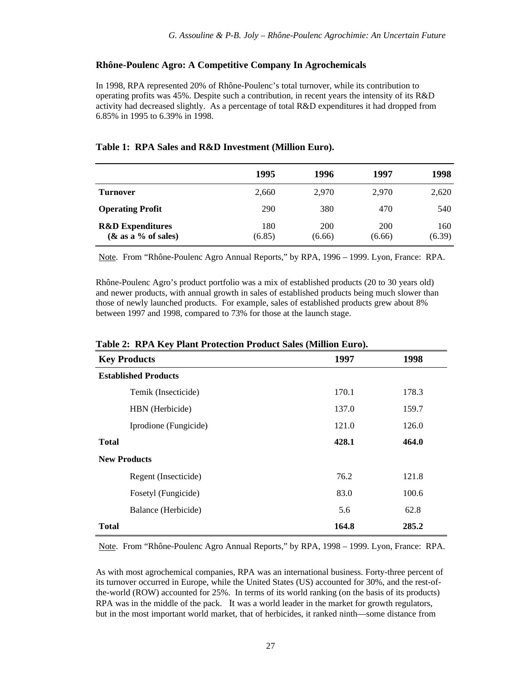## **Rhône-Poulenc Agro: A Competitive Company In Agrochemicals**

In 1998, RPA represented 20% of Rhône-Poulenc's total turnover, while its contribution to operating profits was 45%. Despite such a contribution, in recent years the intensity of its R&D activity had decreased slightly. As a percentage of total R&D expenditures it had dropped from 6.85% in 1995 to 6.39% in 1998.

|                                                       | 1995          | 1996          | 1997          | 1998          |
|-------------------------------------------------------|---------------|---------------|---------------|---------------|
| <b>Turnover</b>                                       | 2,660         | 2.970         | 2.970         | 2,620         |
| <b>Operating Profit</b>                               | 290           | 380           | 470           | 540           |
| <b>R&amp;D</b> Expenditures<br>$(\&$ as a % of sales) | 180<br>(6.85) | 200<br>(6.66) | 200<br>(6.66) | 160<br>(6.39) |

#### **Table 1: RPA Sales and R&D Investment (Million Euro).**

Note. From "Rhône-Poulenc Agro Annual Reports," by RPA, 1996 – 1999. Lyon, France: RPA.

Rhône-Poulenc Agro's product portfolio was a mix of established products (20 to 30 years old) and newer products, with annual growth in sales of established products being much slower than those of newly launched products. For example, sales of established products grew about 8% between 1997 and 1998, compared to 73% for those at the launch stage.

| Table 2. IN A Rey Flam I Folection I Founce Sales (Million Euro). |       |       |  |  |
|-------------------------------------------------------------------|-------|-------|--|--|
| <b>Key Products</b>                                               | 1997  | 1998  |  |  |
| <b>Established Products</b>                                       |       |       |  |  |
| Temik (Insecticide)                                               | 170.1 | 178.3 |  |  |
| HBN (Herbicide)                                                   | 137.0 | 159.7 |  |  |
| Iprodione (Fungicide)                                             | 121.0 | 126.0 |  |  |
| <b>Total</b>                                                      | 428.1 | 464.0 |  |  |
| <b>New Products</b>                                               |       |       |  |  |
| Regent (Insecticide)                                              | 76.2  | 121.8 |  |  |
| Fosetyl (Fungicide)                                               | 83.0  | 100.6 |  |  |
| Balance (Herbicide)                                               | 5.6   | 62.8  |  |  |
| <b>Total</b>                                                      | 164.8 | 285.2 |  |  |

# **Table 2: RPA Key Plant Protection Product Sales (Million Euro).**

Note. From "Rhône-Poulenc Agro Annual Reports," by RPA, 1998 – 1999. Lyon, France: RPA.

As with most agrochemical companies, RPA was an international business. Forty-three percent of its turnover occurred in Europe, while the United States (US) accounted for 30%, and the rest-ofthe-world (ROW) accounted for 25%. In terms of its world ranking (on the basis of its products) RPA was in the middle of the pack. It was a world leader in the market for growth regulators, but in the most important world market, that of herbicides, it ranked ninth—some distance from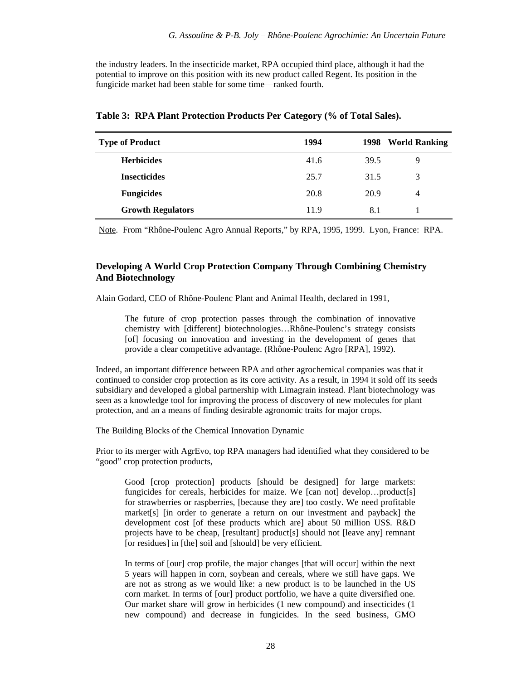the industry leaders. In the insecticide market, RPA occupied third place, although it had the potential to improve on this position with its new product called Regent. Its position in the fungicide market had been stable for some time—ranked fourth.

| <b>Type of Product</b>   | 1994 | 1998 | <b>World Ranking</b> |
|--------------------------|------|------|----------------------|
| <b>Herbicides</b>        | 41.6 | 39.5 | Q                    |
| <b>Insecticides</b>      | 25.7 | 31.5 | 3                    |
| <b>Fungicides</b>        | 20.8 | 20.9 | 4                    |
| <b>Growth Regulators</b> | 11.9 | 8.1  |                      |

**Table 3: RPA Plant Protection Products Per Category (% of Total Sales).**

Note. From "Rhône-Poulenc Agro Annual Reports," by RPA, 1995, 1999. Lyon, France: RPA.

# **Developing A World Crop Protection Company Through Combining Chemistry And Biotechnology**

Alain Godard, CEO of Rhône-Poulenc Plant and Animal Health, declared in 1991,

The future of crop protection passes through the combination of innovative chemistry with [different] biotechnologies…Rhône-Poulenc's strategy consists [of] focusing on innovation and investing in the development of genes that provide a clear competitive advantage. (Rhône-Poulenc Agro [RPA], 1992).

Indeed, an important difference between RPA and other agrochemical companies was that it continued to consider crop protection as its core activity. As a result, in 1994 it sold off its seeds subsidiary and developed a global partnership with Limagrain instead. Plant biotechnology was seen as a knowledge tool for improving the process of discovery of new molecules for plant protection, and an a means of finding desirable agronomic traits for major crops.

The Building Blocks of the Chemical Innovation Dynamic

Prior to its merger with AgrEvo, top RPA managers had identified what they considered to be "good" crop protection products,

Good [crop protection] products [should be designed] for large markets: fungicides for cereals, herbicides for maize. We [can not] develop...product[s] for strawberries or raspberries, [because they are] too costly. We need profitable market[s] [in order to generate a return on our investment and payback] the development cost [of these products which are] about 50 million US\$. R&D projects have to be cheap, [resultant] product[s] should not [leave any] remnant [or residues] in [the] soil and [should] be very efficient.

In terms of [our] crop profile, the major changes [that will occur] within the next 5 years will happen in corn, soybean and cereals, where we still have gaps. We are not as strong as we would like: a new product is to be launched in the US corn market. In terms of [our] product portfolio, we have a quite diversified one. Our market share will grow in herbicides (1 new compound) and insecticides (1 new compound) and decrease in fungicides. In the seed business, GMO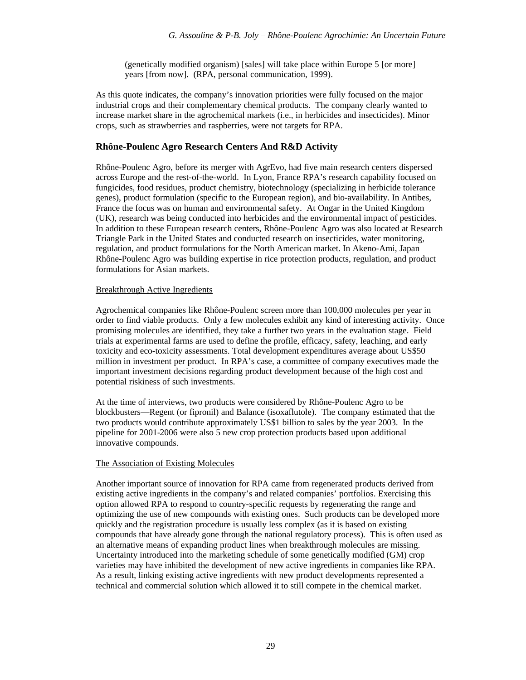(genetically modified organism) [sales] will take place within Europe 5 [or more] years [from now]. (RPA, personal communication, 1999).

As this quote indicates, the company's innovation priorities were fully focused on the major industrial crops and their complementary chemical products. The company clearly wanted to increase market share in the agrochemical markets (i.e., in herbicides and insecticides). Minor crops, such as strawberries and raspberries, were not targets for RPA.

### **Rhône-Poulenc Agro Research Centers And R&D Activity**

Rhône-Poulenc Agro, before its merger with AgrEvo, had five main research centers dispersed across Europe and the rest-of-the-world. In Lyon, France RPA's research capability focused on fungicides, food residues, product chemistry, biotechnology (specializing in herbicide tolerance genes), product formulation (specific to the European region), and bio-availability. In Antibes, France the focus was on human and environmental safety. At Ongar in the United Kingdom (UK), research was being conducted into herbicides and the environmental impact of pesticides. In addition to these European research centers, Rhône-Poulenc Agro was also located at Research Triangle Park in the United States and conducted research on insecticides, water monitoring, regulation, and product formulations for the North American market. In Akeno-Ami, Japan Rhône-Poulenc Agro was building expertise in rice protection products, regulation, and product formulations for Asian markets.

#### Breakthrough Active Ingredients

Agrochemical companies like Rhône-Poulenc screen more than 100,000 molecules per year in order to find viable products. Only a few molecules exhibit any kind of interesting activity. Once promising molecules are identified, they take a further two years in the evaluation stage. Field trials at experimental farms are used to define the profile, efficacy, safety, leaching, and early toxicity and eco-toxicity assessments. Total development expenditures average about US\$50 million in investment per product. In RPA's case, a committee of company executives made the important investment decisions regarding product development because of the high cost and potential riskiness of such investments.

At the time of interviews, two products were considered by Rhône-Poulenc Agro to be blockbusters—Regent (or fipronil) and Balance (isoxaflutole). The company estimated that the two products would contribute approximately US\$1 billion to sales by the year 2003. In the pipeline for 2001-2006 were also 5 new crop protection products based upon additional innovative compounds.

#### The Association of Existing Molecules

Another important source of innovation for RPA came from regenerated products derived from existing active ingredients in the company's and related companies' portfolios. Exercising this option allowed RPA to respond to country-specific requests by regenerating the range and optimizing the use of new compounds with existing ones. Such products can be developed more quickly and the registration procedure is usually less complex (as it is based on existing compounds that have already gone through the national regulatory process). This is often used as an alternative means of expanding product lines when breakthrough molecules are missing. Uncertainty introduced into the marketing schedule of some genetically modified (GM) crop varieties may have inhibited the development of new active ingredients in companies like RPA. As a result, linking existing active ingredients with new product developments represented a technical and commercial solution which allowed it to still compete in the chemical market.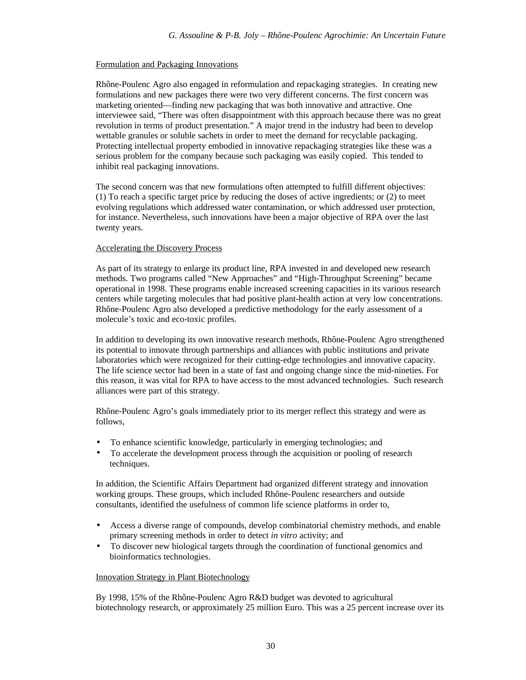## Formulation and Packaging Innovations

Rhône-Poulenc Agro also engaged in reformulation and repackaging strategies. In creating new formulations and new packages there were two very different concerns. The first concern was marketing oriented—finding new packaging that was both innovative and attractive. One interviewee said, "There was often disappointment with this approach because there was no great revolution in terms of product presentation." A major trend in the industry had been to develop wettable granules or soluble sachets in order to meet the demand for recyclable packaging. Protecting intellectual property embodied in innovative repackaging strategies like these was a serious problem for the company because such packaging was easily copied. This tended to inhibit real packaging innovations.

The second concern was that new formulations often attempted to fulfill different objectives: (1) To reach a specific target price by reducing the doses of active ingredients; or (2) to meet evolving regulations which addressed water contamination, or which addressed user protection, for instance. Nevertheless, such innovations have been a major objective of RPA over the last twenty years.

## Accelerating the Discovery Process

As part of its strategy to enlarge its product line, RPA invested in and developed new research methods. Two programs called "New Approaches" and "High-Throughput Screening" became operational in 1998. These programs enable increased screening capacities in its various research centers while targeting molecules that had positive plant-health action at very low concentrations. Rhône-Poulenc Agro also developed a predictive methodology for the early assessment of a molecule's toxic and eco-toxic profiles.

In addition to developing its own innovative research methods, Rhône-Poulenc Agro strengthened its potential to innovate through partnerships and alliances with public institutions and private laboratories which were recognized for their cutting-edge technologies and innovative capacity. The life science sector had been in a state of fast and ongoing change since the mid-nineties. For this reason, it was vital for RPA to have access to the most advanced technologies. Such research alliances were part of this strategy.

Rhône-Poulenc Agro's goals immediately prior to its merger reflect this strategy and were as follows,

- To enhance scientific knowledge, particularly in emerging technologies; and
- To accelerate the development process through the acquisition or pooling of research techniques.

In addition, the Scientific Affairs Department had organized different strategy and innovation working groups. These groups, which included Rhône-Poulenc researchers and outside consultants, identified the usefulness of common life science platforms in order to,

- Access a diverse range of compounds, develop combinatorial chemistry methods, and enable primary screening methods in order to detect *in vitro* activity; and
- To discover new biological targets through the coordination of functional genomics and bioinformatics technologies.

## Innovation Strategy in Plant Biotechnology

By 1998, 15% of the Rhône-Poulenc Agro R&D budget was devoted to agricultural biotechnology research, or approximately 25 million Euro. This was a 25 percent increase over its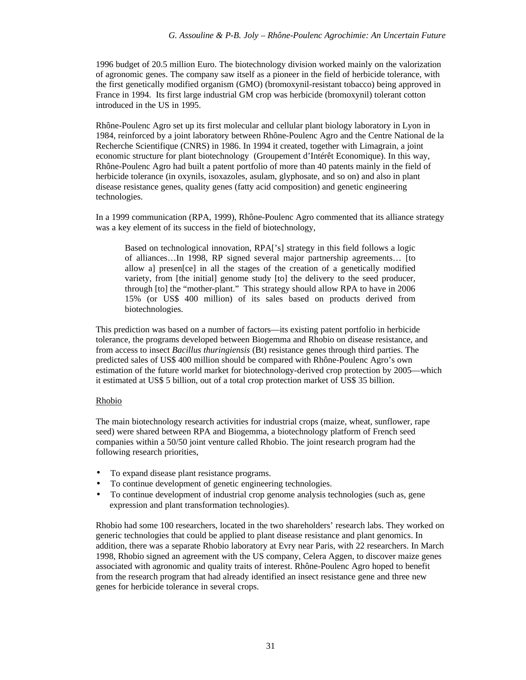1996 budget of 20.5 million Euro. The biotechnology division worked mainly on the valorization of agronomic genes. The company saw itself as a pioneer in the field of herbicide tolerance, with the first genetically modified organism (GMO) (bromoxynil-resistant tobacco) being approved in France in 1994. Its first large industrial GM crop was herbicide (bromoxynil) tolerant cotton introduced in the US in 1995.

Rhône-Poulenc Agro set up its first molecular and cellular plant biology laboratory in Lyon in 1984, reinforced by a joint laboratory between Rhône-Poulenc Agro and the Centre National de la Recherche Scientifique (CNRS) in 1986. In 1994 it created, together with Limagrain, a joint economic structure for plant biotechnology (Groupement d'Intérêt Economique). In this way, Rhône-Poulenc Agro had built a patent portfolio of more than 40 patents mainly in the field of herbicide tolerance (in oxynils, isoxazoles, asulam, glyphosate, and so on) and also in plant disease resistance genes, quality genes (fatty acid composition) and genetic engineering technologies.

In a 1999 communication (RPA, 1999), Rhône-Poulenc Agro commented that its alliance strategy was a key element of its success in the field of biotechnology,

Based on technological innovation, RPA['s] strategy in this field follows a logic of alliances…In 1998, RP signed several major partnership agreements… [to allow a] presen[ce] in all the stages of the creation of a genetically modified variety, from [the initial] genome study [to] the delivery to the seed producer, through [to] the "mother-plant." This strategy should allow RPA to have in 2006 15% (or US\$ 400 million) of its sales based on products derived from biotechnologies.

This prediction was based on a number of factors—its existing patent portfolio in herbicide tolerance, the programs developed between Biogemma and Rhobio on disease resistance, and from access to insect *Bacillus thuringiensis* (Bt) resistance genes through third parties. The predicted sales of US\$ 400 million should be compared with Rhône-Poulenc Agro's own estimation of the future world market for biotechnology-derived crop protection by 2005—which it estimated at US\$ 5 billion, out of a total crop protection market of US\$ 35 billion.

## Rhobio

The main biotechnology research activities for industrial crops (maize, wheat, sunflower, rape seed) were shared between RPA and Biogemma, a biotechnology platform of French seed companies within a 50/50 joint venture called Rhobio. The joint research program had the following research priorities,

- To expand disease plant resistance programs.
- To continue development of genetic engineering technologies.
- To continue development of industrial crop genome analysis technologies (such as, gene expression and plant transformation technologies).

Rhobio had some 100 researchers, located in the two shareholders' research labs. They worked on generic technologies that could be applied to plant disease resistance and plant genomics. In addition, there was a separate Rhobio laboratory at Evry near Paris, with 22 researchers. In March 1998, Rhobio signed an agreement with the US company, Celera Aggen, to discover maize genes associated with agronomic and quality traits of interest. Rhône-Poulenc Agro hoped to benefit from the research program that had already identified an insect resistance gene and three new genes for herbicide tolerance in several crops.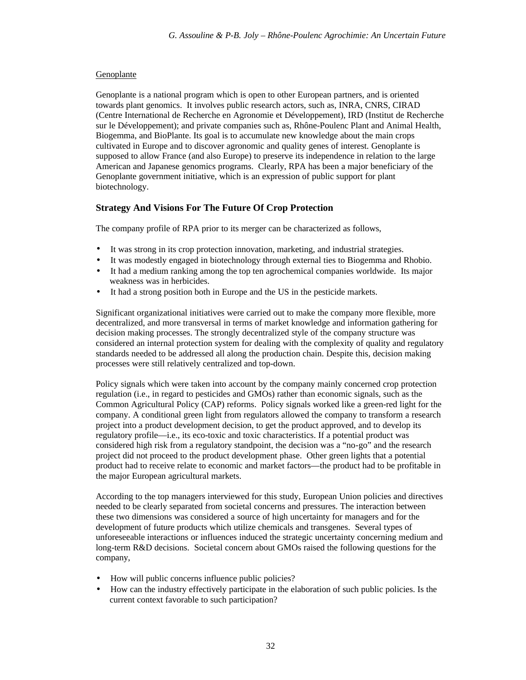## Genoplante

Genoplante is a national program which is open to other European partners, and is oriented towards plant genomics. It involves public research actors, such as, INRA, CNRS, CIRAD (Centre International de Recherche en Agronomie et Développement), IRD (Institut de Recherche sur le Développement); and private companies such as, Rhône-Poulenc Plant and Animal Health, Biogemma, and BioPlante. Its goal is to accumulate new knowledge about the main crops cultivated in Europe and to discover agronomic and quality genes of interest. Genoplante is supposed to allow France (and also Europe) to preserve its independence in relation to the large American and Japanese genomics programs. Clearly, RPA has been a major beneficiary of the Genoplante government initiative, which is an expression of public support for plant biotechnology.

# **Strategy And Visions For The Future Of Crop Protection**

The company profile of RPA prior to its merger can be characterized as follows,

- It was strong in its crop protection innovation, marketing, and industrial strategies.
- It was modestly engaged in biotechnology through external ties to Biogemma and Rhobio.
- It had a medium ranking among the top ten agrochemical companies worldwide. Its major weakness was in herbicides.
- It had a strong position both in Europe and the US in the pesticide markets.

Significant organizational initiatives were carried out to make the company more flexible, more decentralized, and more transversal in terms of market knowledge and information gathering for decision making processes. The strongly decentralized style of the company structure was considered an internal protection system for dealing with the complexity of quality and regulatory standards needed to be addressed all along the production chain. Despite this, decision making processes were still relatively centralized and top-down.

Policy signals which were taken into account by the company mainly concerned crop protection regulation (i.e., in regard to pesticides and GMOs) rather than economic signals, such as the Common Agricultural Policy (CAP) reforms. Policy signals worked like a green-red light for the company. A conditional green light from regulators allowed the company to transform a research project into a product development decision, to get the product approved, and to develop its regulatory profile—i.e., its eco-toxic and toxic characteristics. If a potential product was considered high risk from a regulatory standpoint, the decision was a "no-go" and the research project did not proceed to the product development phase. Other green lights that a potential product had to receive relate to economic and market factors—the product had to be profitable in the major European agricultural markets.

According to the top managers interviewed for this study, European Union policies and directives needed to be clearly separated from societal concerns and pressures. The interaction between these two dimensions was considered a source of high uncertainty for managers and for the development of future products which utilize chemicals and transgenes. Several types of unforeseeable interactions or influences induced the strategic uncertainty concerning medium and long-term R&D decisions. Societal concern about GMOs raised the following questions for the company,

- How will public concerns influence public policies?
- How can the industry effectively participate in the elaboration of such public policies. Is the current context favorable to such participation?